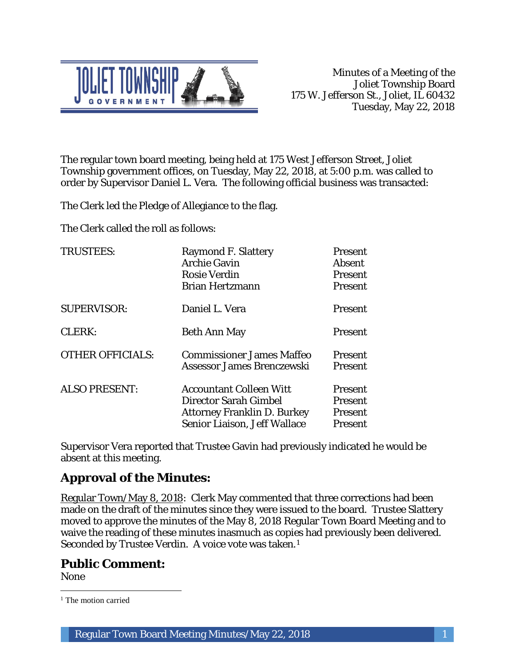

The regular town board meeting, being held at 175 West Jefferson Street, Joliet Township government offices, on Tuesday, May 22, 2018, at 5:00 p.m. was called to order by Supervisor Daniel L. Vera. The following official business was transacted:

The Clerk led the Pledge of Allegiance to the flag.

The Clerk called the roll as follows:

| <b>TRUSTEES:</b>        | <b>Raymond F. Slattery</b><br><b>Archie Gavin</b><br><b>Rosie Verdin</b><br><b>Brian Hertzmann</b>                                   | Present<br>Absent<br>Present<br><b>Present</b> |
|-------------------------|--------------------------------------------------------------------------------------------------------------------------------------|------------------------------------------------|
| <b>SUPERVISOR:</b>      | Daniel L. Vera                                                                                                                       | Present                                        |
| <b>CLERK:</b>           | <b>Beth Ann May</b>                                                                                                                  | Present                                        |
| <b>OTHER OFFICIALS:</b> | <b>Commissioner James Maffeo</b><br>Assessor James Brenczewski                                                                       | <b>Present</b><br>Present                      |
| <b>ALSO PRESENT:</b>    | <b>Accountant Colleen Witt</b><br><b>Director Sarah Gimbel</b><br><b>Attorney Franklin D. Burkey</b><br>Senior Liaison, Jeff Wallace | Present<br>Present<br>Present<br>Present       |

Supervisor Vera reported that Trustee Gavin had previously indicated he would be absent at this meeting.

# **Approval of the Minutes:**

Regular Town/May 8, 2018: Clerk May commented that three corrections had been made on the draft of the minutes since they were issued to the board. Trustee Slattery moved to approve the minutes of the May 8, 2018 Regular Town Board Meeting and to waive the reading of these minutes inasmuch as copies had previously been delivered. Seconded by Trustee Verdin. A voice vote was taken.1

# **Public Comment:**

None

 $\overline{a}$ <sup>1</sup> The motion carried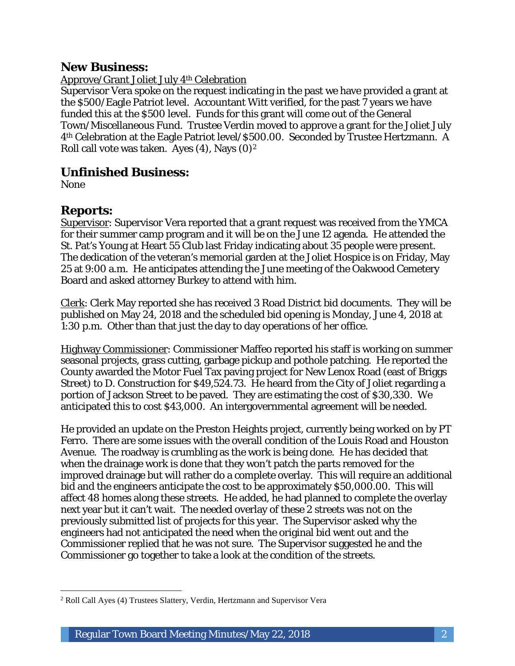## **New Business:**

Approve/Grant Joliet July 4th Celebration

Supervisor Vera spoke on the request indicating in the past we have provided a grant at the \$500/Eagle Patriot level. Accountant Witt verified, for the past 7 years we have funded this at the \$500 level. Funds for this grant will come out of the General Town/Miscellaneous Fund. Trustee Verdin moved to approve a grant for the Joliet July 4th Celebration at the Eagle Patriot level/\$500.00. Seconded by Trustee Hertzmann. A Roll call vote was taken. Ayes  $(4)$ , Nays  $(0)<sup>2</sup>$ 

# **Unfinished Business:**

None

# **Reports:**

Supervisor: Supervisor Vera reported that a grant request was received from the YMCA for their summer camp program and it will be on the June 12 agenda. He attended the St. Pat's Young at Heart 55 Club last Friday indicating about 35 people were present. The dedication of the veteran's memorial garden at the Joliet Hospice is on Friday, May 25 at 9:00 a.m. He anticipates attending the June meeting of the Oakwood Cemetery Board and asked attorney Burkey to attend with him.

Clerk: Clerk May reported she has received 3 Road District bid documents. They will be published on May 24, 2018 and the scheduled bid opening is Monday, June 4, 2018 at 1:30 p.m. Other than that just the day to day operations of her office.

Highway Commissioner: Commissioner Maffeo reported his staff is working on summer seasonal projects, grass cutting, garbage pickup and pothole patching. He reported the County awarded the Motor Fuel Tax paving project for New Lenox Road (east of Briggs Street) to D. Construction for \$49,524.73. He heard from the City of Joliet regarding a portion of Jackson Street to be paved. They are estimating the cost of \$30,330. We anticipated this to cost \$43,000. An intergovernmental agreement will be needed.

He provided an update on the Preston Heights project, currently being worked on by PT Ferro. There are some issues with the overall condition of the Louis Road and Houston Avenue. The roadway is crumbling as the work is being done. He has decided that when the drainage work is done that they won't patch the parts removed for the improved drainage but will rather do a complete overlay. This will require an additional bid and the engineers anticipate the cost to be approximately \$50,000.00. This will affect 48 homes along these streets. He added, he had planned to complete the overlay next year but it can't wait. The needed overlay of these 2 streets was not on the previously submitted list of projects for this year. The Supervisor asked why the engineers had not anticipated the need when the original bid went out and the Commissioner replied that he was not sure. The Supervisor suggested he and the Commissioner go together to take a look at the condition of the streets.

 $\overline{a}$ <sup>2</sup> Roll Call Ayes (4) Trustees Slattery, Verdin, Hertzmann and Supervisor Vera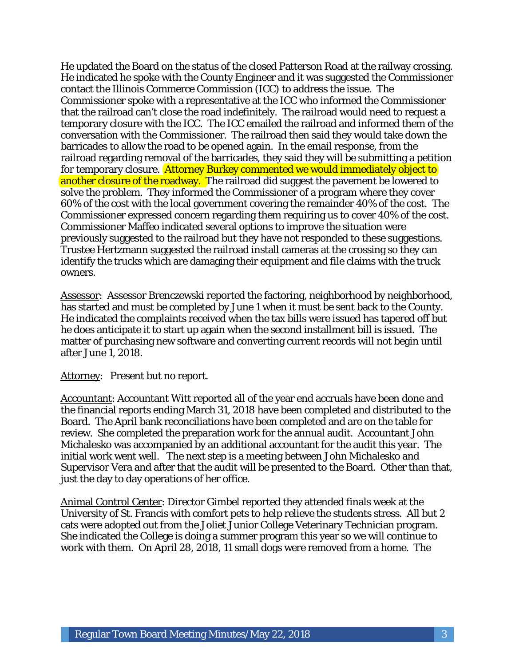He updated the Board on the status of the closed Patterson Road at the railway crossing. He indicated he spoke with the County Engineer and it was suggested the Commissioner contact the Illinois Commerce Commission (ICC) to address the issue. The Commissioner spoke with a representative at the ICC who informed the Commissioner that the railroad can't close the road indefinitely. The railroad would need to request a temporary closure with the ICC. The ICC emailed the railroad and informed them of the conversation with the Commissioner. The railroad then said they would take down the barricades to allow the road to be opened again. In the email response, from the railroad regarding removal of the barricades, they said they will be submitting a petition for temporary closure. Attorney Burkey commented we would immediately object to another closure of the roadway. The railroad did suggest the pavement be lowered to solve the problem. They informed the Commissioner of a program where they cover 60% of the cost with the local government covering the remainder 40% of the cost. The Commissioner expressed concern regarding them requiring us to cover 40% of the cost. Commissioner Maffeo indicated several options to improve the situation were previously suggested to the railroad but they have not responded to these suggestions. Trustee Hertzmann suggested the railroad install cameras at the crossing so they can identify the trucks which are damaging their equipment and file claims with the truck owners.

Assessor: Assessor Brenczewski reported the factoring, neighborhood by neighborhood, has started and must be completed by June 1 when it must be sent back to the County. He indicated the complaints received when the tax bills were issued has tapered off but he does anticipate it to start up again when the second installment bill is issued. The matter of purchasing new software and converting current records will not begin until after June 1, 2018.

Attorney: Present but no report.

Accountant: Accountant Witt reported all of the year end accruals have been done and the financial reports ending March 31, 2018 have been completed and distributed to the Board. The April bank reconciliations have been completed and are on the table for review. She completed the preparation work for the annual audit. Accountant John Michalesko was accompanied by an additional accountant for the audit this year. The initial work went well. The next step is a meeting between John Michalesko and Supervisor Vera and after that the audit will be presented to the Board. Other than that, just the day to day operations of her office.

Animal Control Center: Director Gimbel reported they attended finals week at the University of St. Francis with comfort pets to help relieve the students stress. All but 2 cats were adopted out from the Joliet Junior College Veterinary Technician program. She indicated the College is doing a summer program this year so we will continue to work with them. On April 28, 2018, 11 small dogs were removed from a home. The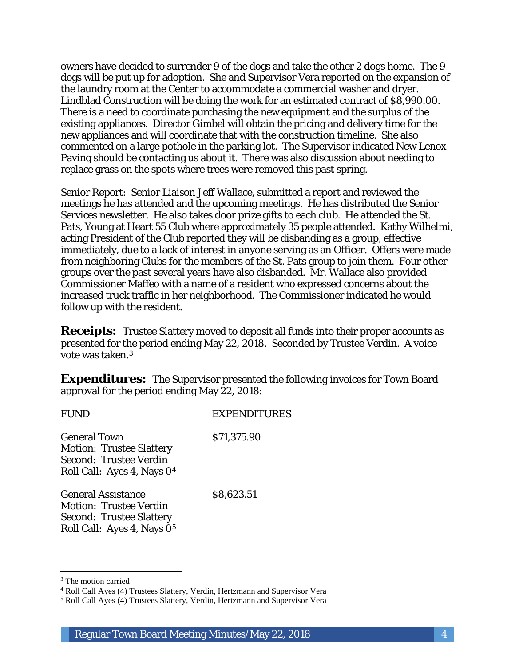owners have decided to surrender 9 of the dogs and take the other 2 dogs home. The 9 dogs will be put up for adoption. She and Supervisor Vera reported on the expansion of the laundry room at the Center to accommodate a commercial washer and dryer. Lindblad Construction will be doing the work for an estimated contract of \$8,990.00. There is a need to coordinate purchasing the new equipment and the surplus of the existing appliances. Director Gimbel will obtain the pricing and delivery time for the new appliances and will coordinate that with the construction timeline. She also commented on a large pothole in the parking lot. The Supervisor indicated New Lenox Paving should be contacting us about it. There was also discussion about needing to replace grass on the spots where trees were removed this past spring.

Senior Report: Senior Liaison Jeff Wallace, submitted a report and reviewed the meetings he has attended and the upcoming meetings. He has distributed the Senior Services newsletter. He also takes door prize gifts to each club. He attended the St. Pats, Young at Heart 55 Club where approximately 35 people attended. Kathy Wilhelmi, acting President of the Club reported they will be disbanding as a group, effective immediately, due to a lack of interest in anyone serving as an Officer. Offers were made from neighboring Clubs for the members of the St. Pats group to join them. Four other groups over the past several years have also disbanded. Mr. Wallace also provided Commissioner Maffeo with a name of a resident who expressed concerns about the increased truck traffic in her neighborhood. The Commissioner indicated he would follow up with the resident.

**Receipts:** Trustee Slattery moved to deposit all funds into their proper accounts as presented for the period ending May 22, 2018. Seconded by Trustee Verdin. A voice vote was taken.3

**Expenditures:** The Supervisor presented the following invoices for Town Board approval for the period ending May 22, 2018:

| FUND                                                                                                                             | <b>EXPENDITURES</b> |
|----------------------------------------------------------------------------------------------------------------------------------|---------------------|
| <b>General Town</b><br><b>Motion: Trustee Slattery</b><br>Second: Trustee Verdin<br>Roll Call: Ayes 4, Nays 0 <sup>4</sup>       | \$71,375.90         |
| <b>General Assistance</b><br>Motion: Trustee Verdin<br><b>Second: Trustee Slattery</b><br>Roll Call: Ayes 4, Nays 0 <sup>5</sup> | \$8,623.51          |

I

<sup>&</sup>lt;sup>3</sup> The motion carried

<sup>4</sup> Roll Call Ayes (4) Trustees Slattery, Verdin, Hertzmann and Supervisor Vera

<sup>5</sup> Roll Call Ayes (4) Trustees Slattery, Verdin, Hertzmann and Supervisor Vera